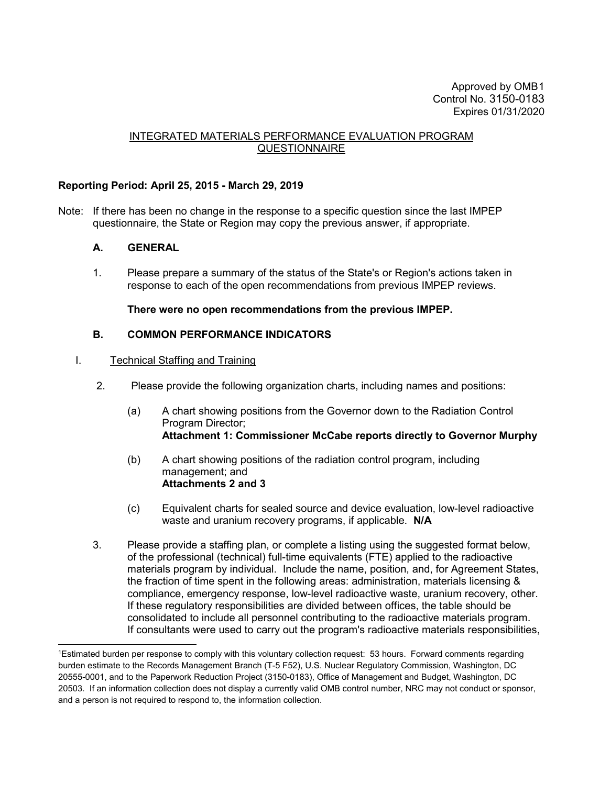Approved by OMB[1](#page-0-0) Control No. 3150-0183 Expires 01/31/2020

## INTEGRATED MATERIALS PERFORMANCE EVALUATION PROGRAM **QUESTIONNAIRE**

## **Reporting Period: April 25, 2015 - March 29, 2019**

Note: If there has been no change in the response to a specific question since the last IMPEP questionnaire, the State or Region may copy the previous answer, if appropriate.

## **A. GENERAL**

 $\overline{a}$ 

1. Please prepare a summary of the status of the State's or Region's actions taken in response to each of the open recommendations from previous IMPEP reviews.

**There were no open recommendations from the previous IMPEP.**

## **B. COMMON PERFORMANCE INDICATORS**

#### I. Technical Staffing and Training

- 2. Please provide the following organization charts, including names and positions:
	- (a) A chart showing positions from the Governor down to the Radiation Control Program Director; **Attachment 1: Commissioner McCabe reports directly to Governor Murphy**
	- (b) A chart showing positions of the radiation control program, including management; and **Attachments 2 and 3**
	- (c) Equivalent charts for sealed source and device evaluation, low-level radioactive waste and uranium recovery programs, if applicable. **N/A**
- 3. Please provide a staffing plan, or complete a listing using the suggested format below, of the professional (technical) full-time equivalents (FTE) applied to the radioactive materials program by individual. Include the name, position, and, for Agreement States, the fraction of time spent in the following areas: administration, materials licensing & compliance, emergency response, low-level radioactive waste, uranium recovery, other. If these regulatory responsibilities are divided between offices, the table should be consolidated to include all personnel contributing to the radioactive materials program. If consultants were used to carry out the program's radioactive materials responsibilities,

<span id="page-0-0"></span><sup>1</sup>Estimated burden per response to comply with this voluntary collection request: 53 hours. Forward comments regarding burden estimate to the Records Management Branch (T-5 F52), U.S. Nuclear Regulatory Commission, Washington, DC 20555-0001, and to the Paperwork Reduction Project (3150-0183), Office of Management and Budget, Washington, DC 20503. If an information collection does not display a currently valid OMB control number, NRC may not conduct or sponsor, and a person is not required to respond to, the information collection.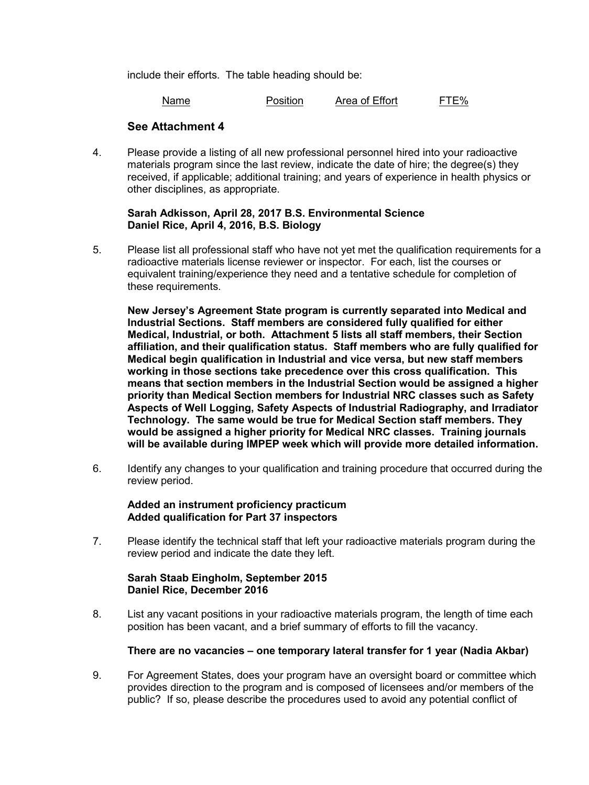include their efforts. The table heading should be:

| Name | Position | Area of Effort | FTE% |
|------|----------|----------------|------|
|------|----------|----------------|------|

## **See Attachment 4**

4. Please provide a listing of all new professional personnel hired into your radioactive materials program since the last review, indicate the date of hire; the degree(s) they received, if applicable; additional training; and years of experience in health physics or other disciplines, as appropriate.

#### **Sarah Adkisson, April 28, 2017 B.S. Environmental Science Daniel Rice, April 4, 2016, B.S. Biology**

5. Please list all professional staff who have not yet met the qualification requirements for a radioactive materials license reviewer or inspector. For each, list the courses or equivalent training/experience they need and a tentative schedule for completion of these requirements.

**New Jersey's Agreement State program is currently separated into Medical and Industrial Sections. Staff members are considered fully qualified for either Medical, Industrial, or both. Attachment 5 lists all staff members, their Section affiliation, and their qualification status. Staff members who are fully qualified for Medical begin qualification in Industrial and vice versa, but new staff members working in those sections take precedence over this cross qualification. This means that section members in the Industrial Section would be assigned a higher priority than Medical Section members for Industrial NRC classes such as Safety Aspects of Well Logging, Safety Aspects of Industrial Radiography, and Irradiator Technology. The same would be true for Medical Section staff members. They would be assigned a higher priority for Medical NRC classes. Training journals will be available during IMPEP week which will provide more detailed information.** 

6. Identify any changes to your qualification and training procedure that occurred during the review period.

#### **Added an instrument proficiency practicum Added qualification for Part 37 inspectors**

7. Please identify the technical staff that left your radioactive materials program during the review period and indicate the date they left.

## **Sarah Staab Eingholm, September 2015 Daniel Rice, December 2016**

8. List any vacant positions in your radioactive materials program, the length of time each position has been vacant, and a brief summary of efforts to fill the vacancy.

#### **There are no vacancies – one temporary lateral transfer for 1 year (Nadia Akbar)**

9. For Agreement States, does your program have an oversight board or committee which provides direction to the program and is composed of licensees and/or members of the public? If so, please describe the procedures used to avoid any potential conflict of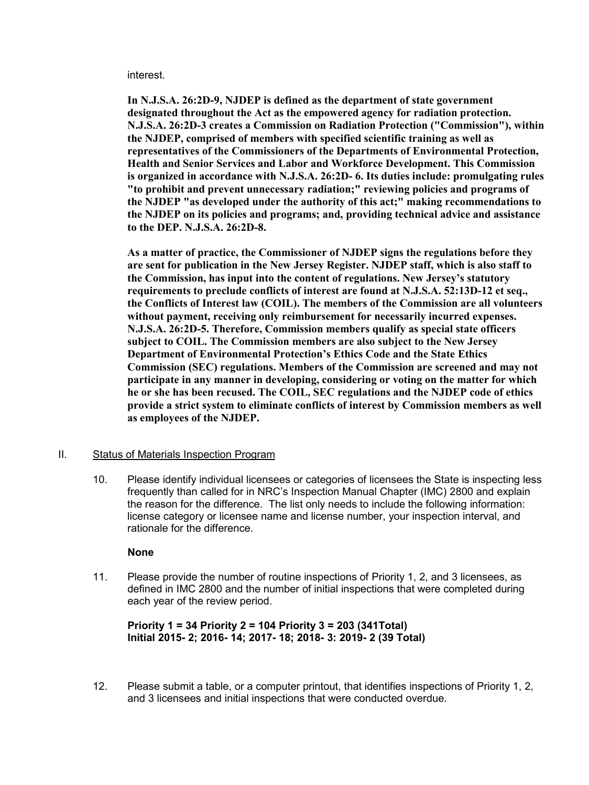interest.

**In N.J.S.A. 26:2D-9, NJDEP is defined as the department of state government designated throughout the Act as the empowered agency for radiation protection. N.J.S.A. 26:2D-3 creates a Commission on Radiation Protection ("Commission"), within the NJDEP, comprised of members with specified scientific training as well as representatives of the Commissioners of the Departments of Environmental Protection, Health and Senior Services and Labor and Workforce Development. This Commission is organized in accordance with N.J.S.A. 26:2D- 6. Its duties include: promulgating rules "to prohibit and prevent unnecessary radiation;" reviewing policies and programs of the NJDEP "as developed under the authority of this act;" making recommendations to the NJDEP on its policies and programs; and, providing technical advice and assistance to the DEP. N.J.S.A. 26:2D-8.** 

**As a matter of practice, the Commissioner of NJDEP signs the regulations before they are sent for publication in the New Jersey Register. NJDEP staff, which is also staff to the Commission, has input into the content of regulations. New Jersey's statutory requirements to preclude conflicts of interest are found at N.J.S.A. 52:13D-12 et seq., the Conflicts of Interest law (COIL). The members of the Commission are all volunteers without payment, receiving only reimbursement for necessarily incurred expenses. N.J.S.A. 26:2D-5. Therefore, Commission members qualify as special state officers subject to COIL. The Commission members are also subject to the New Jersey Department of Environmental Protection's Ethics Code and the State Ethics Commission (SEC) regulations. Members of the Commission are screened and may not participate in any manner in developing, considering or voting on the matter for which he or she has been recused. The COIL, SEC regulations and the NJDEP code of ethics provide a strict system to eliminate conflicts of interest by Commission members as well as employees of the NJDEP.**

## II. Status of Materials Inspection Program

10. Please identify individual licensees or categories of licensees the State is inspecting less frequently than called for in NRC's Inspection Manual Chapter (IMC) 2800 and explain the reason for the difference. The list only needs to include the following information: license category or licensee name and license number, your inspection interval, and rationale for the difference.

## **None**

11. Please provide the number of routine inspections of Priority 1, 2, and 3 licensees, as defined in IMC 2800 and the number of initial inspections that were completed during each year of the review period.

**Priority 1 = 34 Priority 2 = 104 Priority 3 = 203 (341Total) Initial 2015- 2; 2016- 14; 2017- 18; 2018- 3: 2019- 2 (39 Total)**

12. Please submit a table, or a computer printout, that identifies inspections of Priority 1, 2, and 3 licensees and initial inspections that were conducted overdue.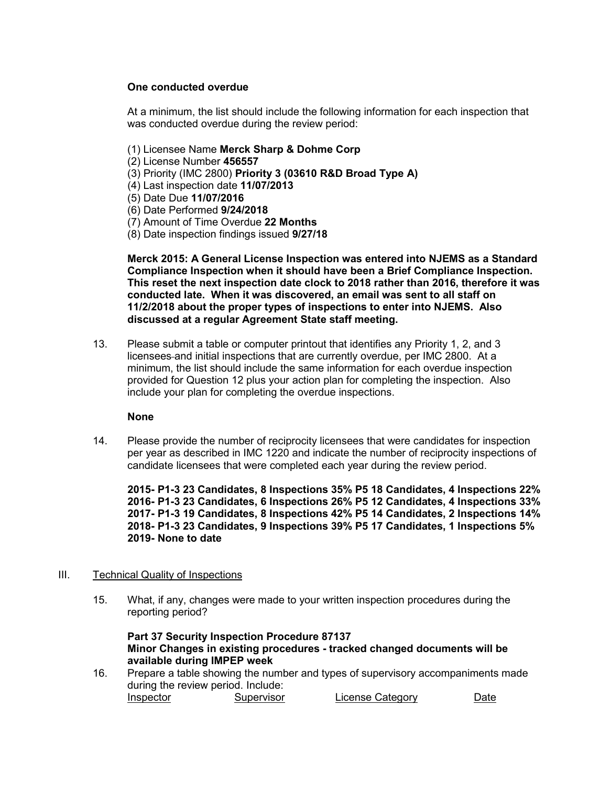## **One conducted overdue**

At a minimum, the list should include the following information for each inspection that was conducted overdue during the review period:

- (1) Licensee Name **Merck Sharp & Dohme Corp**
- (2) License Number **456557**
- (3) Priority (IMC 2800) **Priority 3 (03610 R&D Broad Type A)**
- (4) Last inspection date **11/07/2013**
- (5) Date Due **11/07/2016**
- (6) Date Performed **9/24/2018**
- (7) Amount of Time Overdue **22 Months**
- (8) Date inspection findings issued **9/27/18**

**Merck 2015: A General License Inspection was entered into NJEMS as a Standard Compliance Inspection when it should have been a Brief Compliance Inspection. This reset the next inspection date clock to 2018 rather than 2016, therefore it was conducted late. When it was discovered, an email was sent to all staff on 11/2/2018 about the proper types of inspections to enter into NJEMS. Also discussed at a regular Agreement State staff meeting.**

13. Please submit a table or computer printout that identifies any Priority 1, 2, and 3 licensees and initial inspections that are currently overdue, per IMC 2800. At a minimum, the list should include the same information for each overdue inspection provided for Question 12 plus your action plan for completing the inspection. Also include your plan for completing the overdue inspections.

## **None**

14. Please provide the number of reciprocity licensees that were candidates for inspection per year as described in IMC 1220 and indicate the number of reciprocity inspections of candidate licensees that were completed each year during the review period.

**2015- P1-3 23 Candidates, 8 Inspections 35% P5 18 Candidates, 4 Inspections 22% 2016- P1-3 23 Candidates, 6 Inspections 26% P5 12 Candidates, 4 Inspections 33% 2017- P1-3 19 Candidates, 8 Inspections 42% P5 14 Candidates, 2 Inspections 14% 2018- P1-3 23 Candidates, 9 Inspections 39% P5 17 Candidates, 1 Inspections 5% 2019- None to date**

## III. Technical Quality of Inspections

15. What, if any, changes were made to your written inspection procedures during the reporting period?

**Part 37 Security Inspection Procedure 87137 Minor Changes in existing procedures - tracked changed documents will be available during IMPEP week**

16. Prepare a table showing the number and types of supervisory accompaniments made during the review period. Include:<br>Inspector Supervisor License Category Date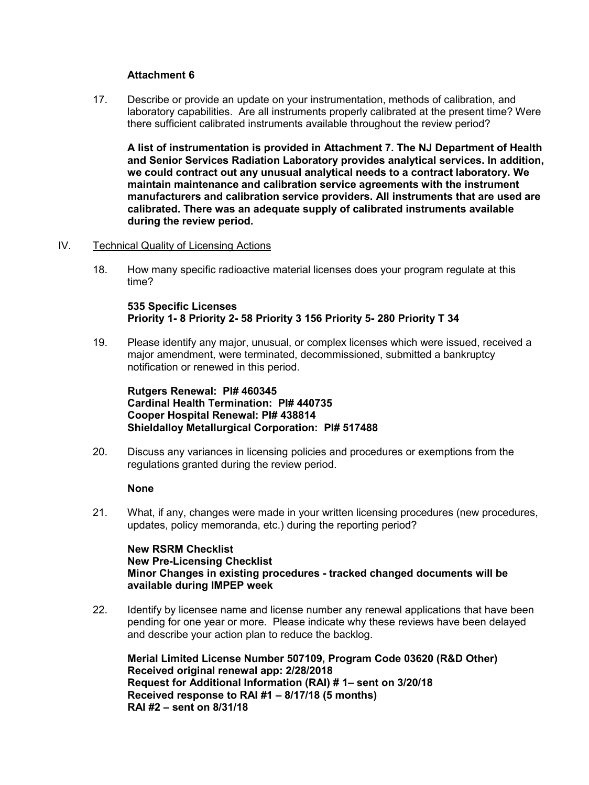## **Attachment 6**

17. Describe or provide an update on your instrumentation, methods of calibration, and laboratory capabilities. Are all instruments properly calibrated at the present time? Were there sufficient calibrated instruments available throughout the review period?

**A list of instrumentation is provided in Attachment 7. The NJ Department of Health and Senior Services Radiation Laboratory provides analytical services. In addition, we could contract out any unusual analytical needs to a contract laboratory. We maintain maintenance and calibration service agreements with the instrument manufacturers and calibration service providers. All instruments that are used are calibrated. There was an adequate supply of calibrated instruments available during the review period.** 

## IV. Technical Quality of Licensing Actions

18. How many specific radioactive material licenses does your program regulate at this time?

## **535 Specific Licenses Priority 1- 8 Priority 2- 58 Priority 3 156 Priority 5- 280 Priority T 34**

19. Please identify any major, unusual, or complex licenses which were issued, received a major amendment, were terminated, decommissioned, submitted a bankruptcy notification or renewed in this period.

## **Rutgers Renewal: PI# 460345 Cardinal Health Termination: PI# 440735 Cooper Hospital Renewal: PI# 438814 Shieldalloy Metallurgical Corporation: PI# 517488**

20. Discuss any variances in licensing policies and procedures or exemptions from the regulations granted during the review period.

## **None**

21. What, if any, changes were made in your written licensing procedures (new procedures, updates, policy memoranda, etc.) during the reporting period?

## **New RSRM Checklist New Pre-Licensing Checklist Minor Changes in existing procedures - tracked changed documents will be available during IMPEP week**

22. Identify by licensee name and license number any renewal applications that have been pending for one year or more. Please indicate why these reviews have been delayed and describe your action plan to reduce the backlog.

**Merial Limited License Number 507109, Program Code 03620 (R&D Other) Received original renewal app: 2/28/2018 Request for Additional Information (RAI) # 1– sent on 3/20/18 Received response to RAI #1 – 8/17/18 (5 months) RAI #2 – sent on 8/31/18**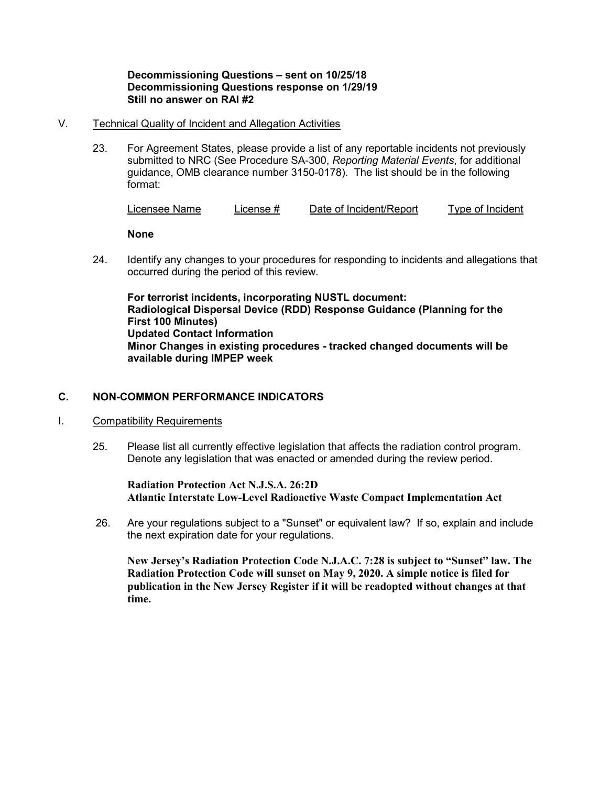## **Decommissioning Questions – sent on 10/25/18 Decommissioning Questions response on 1/29/19 Still no answer on RAI #2**

#### V. Technical Quality of Incident and Allegation Activities

23. For Agreement States, please provide a list of any reportable incidents not previously submitted to NRC (See Procedure SA-300, *Reporting Material Events*, for additional guidance, OMB clearance number 3150-0178). The list should be in the following format:

Licensee Name License # Date of Incident/Report Type of Incident

**None**

24. Identify any changes to your procedures for responding to incidents and allegations that occurred during the period of this review.

**For terrorist incidents, incorporating NUSTL document: Radiological Dispersal Device (RDD) Response Guidance (Planning for the First 100 Minutes) Updated Contact Information Minor Changes in existing procedures - tracked changed documents will be available during IMPEP week**

## **C. NON-COMMON PERFORMANCE INDICATORS**

#### I. Compatibility Requirements

25. Please list all currently effective legislation that affects the radiation control program. Denote any legislation that was enacted or amended during the review period.

**Radiation Protection Act N.J.S.A. 26:2D Atlantic Interstate Low-Level Radioactive Waste Compact Implementation Act**

26. Are your regulations subject to a "Sunset" or equivalent law? If so, explain and include the next expiration date for your regulations.

**New Jersey's Radiation Protection Code N.J.A.C. 7:28 is subject to "Sunset" law. The Radiation Protection Code will sunset on May 9, 2020. A simple notice is filed for publication in the New Jersey Register if it will be readopted without changes at that time.**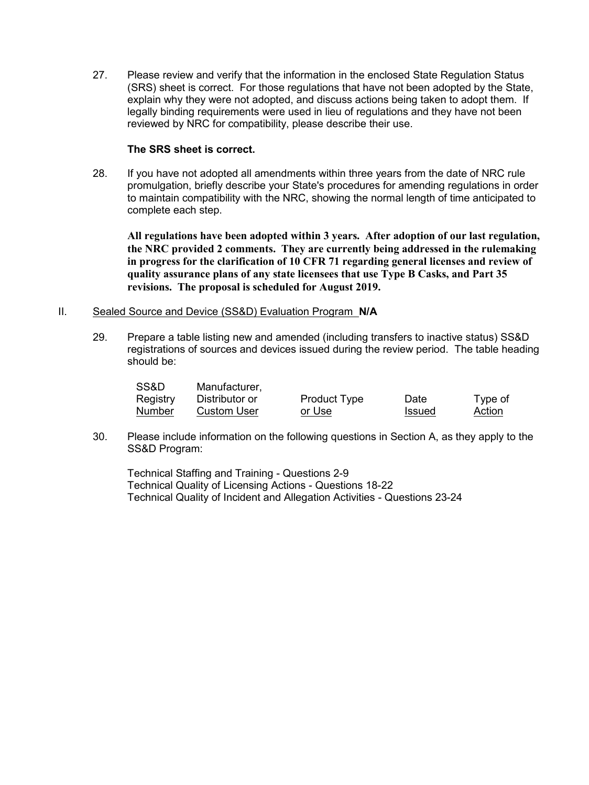27. Please review and verify that the information in the enclosed State Regulation Status (SRS) sheet is correct. For those regulations that have not been adopted by the State, explain why they were not adopted, and discuss actions being taken to adopt them. If legally binding requirements were used in lieu of regulations and they have not been reviewed by NRC for compatibility, please describe their use.

## **The SRS sheet is correct.**

28. If you have not adopted all amendments within three years from the date of NRC rule promulgation, briefly describe your State's procedures for amending regulations in order to maintain compatibility with the NRC, showing the normal length of time anticipated to complete each step.

**All regulations have been adopted within 3 years. After adoption of our last regulation, the NRC provided 2 comments. They are currently being addressed in the rulemaking in progress for the clarification of 10 CFR 71 regarding general licenses and review of quality assurance plans of any state licensees that use Type B Casks, and Part 35 revisions. The proposal is scheduled for August 2019.**

## II. Sealed Source and Device (SS&D) Evaluation Program **N/A**

29. Prepare a table listing new and amended (including transfers to inactive status) SS&D registrations of sources and devices issued during the review period. The table heading should be:

| SS&D          | Manufacturer,      |                     |               |               |
|---------------|--------------------|---------------------|---------------|---------------|
| Registry      | Distributor or     | <b>Product Type</b> | Date          | Type of       |
| <b>Number</b> | <b>Custom User</b> | or Use              | <b>Issued</b> | <u>Action</u> |

30. Please include information on the following questions in Section A, as they apply to the SS&D Program:

Technical Staffing and Training - Questions 2-9 Technical Quality of Licensing Actions - Questions 18-22 Technical Quality of Incident and Allegation Activities - Questions 23-24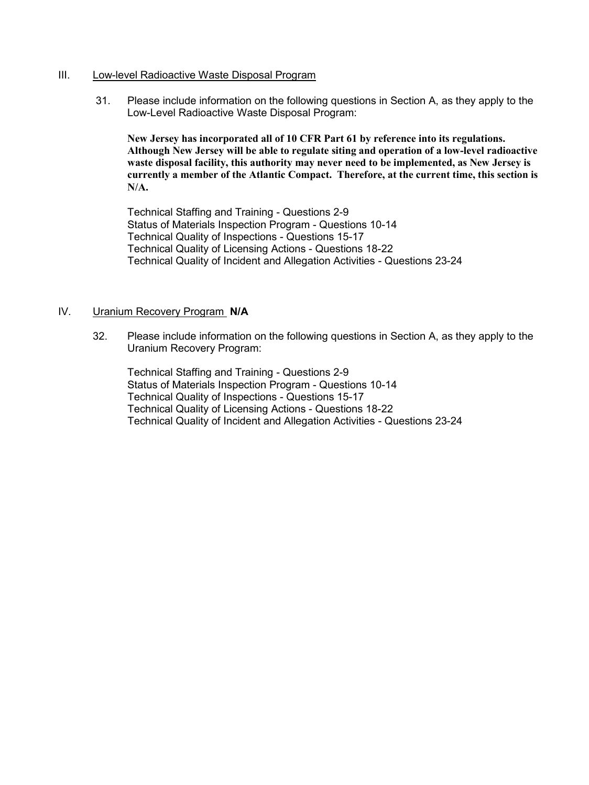#### III. Low-level Radioactive Waste Disposal Program

31. Please include information on the following questions in Section A, as they apply to the Low-Level Radioactive Waste Disposal Program:

**New Jersey has incorporated all of 10 CFR Part 61 by reference into its regulations. Although New Jersey will be able to regulate siting and operation of a low-level radioactive waste disposal facility, this authority may never need to be implemented, as New Jersey is currently a member of the Atlantic Compact. Therefore, at the current time, this section is N/A.**

Technical Staffing and Training - Questions 2-9 Status of Materials Inspection Program - Questions 10-14 Technical Quality of Inspections - Questions 15-17 Technical Quality of Licensing Actions - Questions 18-22 Technical Quality of Incident and Allegation Activities - Questions 23-24

## IV. Uranium Recovery Program **N/A**

32. Please include information on the following questions in Section A, as they apply to the Uranium Recovery Program:

Technical Staffing and Training - Questions 2-9 Status of Materials Inspection Program - Questions 10-14 Technical Quality of Inspections - Questions 15-17 Technical Quality of Licensing Actions - Questions 18-22 Technical Quality of Incident and Allegation Activities - Questions 23-24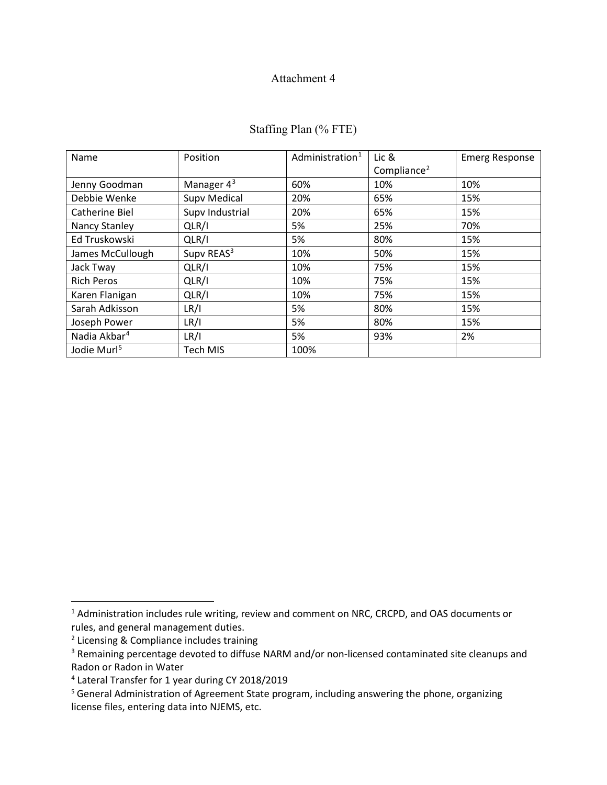## Attachment 4

| Name                     | Position               | Administration <sup>1</sup> | Lic &                   | <b>Emerg Response</b> |
|--------------------------|------------------------|-----------------------------|-------------------------|-----------------------|
|                          |                        |                             | Compliance <sup>2</sup> |                       |
| Jenny Goodman            | Manager $4^3$          | 60%                         | 10%                     | 10%                   |
| Debbie Wenke             | <b>Supv Medical</b>    | 20%                         | 65%                     | 15%                   |
| Catherine Biel           | Supv Industrial        | 20%                         | 65%                     | 15%                   |
| Nancy Stanley            | QLR/I                  | 5%                          | 25%                     | 70%                   |
| Ed Truskowski            | QLR/I                  | 5%                          | 80%                     | 15%                   |
| James McCullough         | Supv REAS <sup>3</sup> | 10%                         | 50%                     | 15%                   |
| Jack Tway                | QLR/I                  | 10%                         | 75%                     | 15%                   |
| <b>Rich Peros</b>        | QLR/I                  | 10%                         | 75%                     | 15%                   |
| Karen Flanigan           | QLR/I                  | 10%                         | 75%                     | 15%                   |
| Sarah Adkisson           | LR/I                   | 5%                          | 80%                     | 15%                   |
| Joseph Power             | LR/I                   | 5%                          | 80%                     | 15%                   |
| Nadia Akbar <sup>4</sup> | LR/I                   | 5%                          | 93%                     | 2%                    |
| Jodie Murl <sup>5</sup>  | Tech MIS               | 100%                        |                         |                       |

<span id="page-8-0"></span><sup>&</sup>lt;sup>1</sup> Administration includes rule writing, review and comment on NRC, CRCPD, and OAS documents or rules, and general management duties.

<span id="page-8-1"></span><sup>&</sup>lt;sup>2</sup> Licensing & Compliance includes training

<span id="page-8-2"></span><sup>&</sup>lt;sup>3</sup> Remaining percentage devoted to diffuse NARM and/or non-licensed contaminated site cleanups and Radon or Radon in Water

<span id="page-8-3"></span><sup>4</sup> Lateral Transfer for 1 year during CY 2018/2019

<span id="page-8-4"></span><sup>5</sup> General Administration of Agreement State program, including answering the phone, organizing license files, entering data into NJEMS, etc.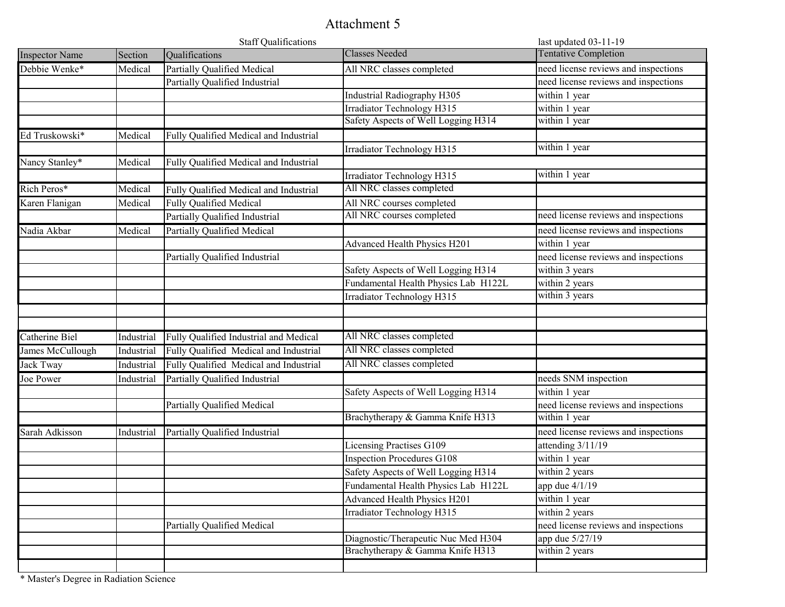# Attachment 5

|                       |            | <b>Staff Qualifications</b>            |                                      | last updated 03-11-19                |
|-----------------------|------------|----------------------------------------|--------------------------------------|--------------------------------------|
| <b>Inspector Name</b> | Section    | Qualifications                         | <b>Classes Needed</b>                | <b>Tentative Completion</b>          |
| Debbie Wenke*         | Medical    | Partially Qualified Medical            | All NRC classes completed            | need license reviews and inspections |
|                       |            | Partially Qualified Industrial         |                                      | need license reviews and inspections |
|                       |            |                                        | <b>Industrial Radiography H305</b>   | within 1 year                        |
|                       |            |                                        | <b>Irradiator Technology H315</b>    | within 1 year                        |
|                       |            |                                        | Safety Aspects of Well Logging H314  | within 1 year                        |
| Ed Truskowski*        | Medical    | Fully Qualified Medical and Industrial |                                      |                                      |
|                       |            |                                        | <b>Irradiator Technology H315</b>    | within 1 year                        |
| Nancy Stanley*        | Medical    | Fully Qualified Medical and Industrial |                                      |                                      |
|                       |            |                                        | Irradiator Technology H315           | within 1 year                        |
| Rich Peros*           | Medical    | Fully Qualified Medical and Industrial | All NRC classes completed            |                                      |
| Karen Flanigan        | Medical    | <b>Fully Qualified Medical</b>         | All NRC courses completed            |                                      |
|                       |            | Partially Qualified Industrial         | All NRC courses completed            | need license reviews and inspections |
| Nadia Akbar           | Medical    | <b>Partially Qualified Medical</b>     |                                      | need license reviews and inspections |
|                       |            |                                        | Advanced Health Physics H201         | within 1 year                        |
|                       |            | Partially Qualified Industrial         |                                      | need license reviews and inspections |
|                       |            |                                        | Safety Aspects of Well Logging H314  | within 3 years                       |
|                       |            |                                        | Fundamental Health Physics Lab H122L | within 2 years                       |
|                       |            |                                        | <b>Irradiator Technology H315</b>    | within 3 years                       |
|                       |            |                                        |                                      |                                      |
|                       |            |                                        |                                      |                                      |
| <b>Catherine Biel</b> | Industrial | Fully Qualified Industrial and Medical | All NRC classes completed            |                                      |
| James McCullough      | Industrial | Fully Qualified Medical and Industrial | All NRC classes completed            |                                      |
| Jack Tway             | Industrial | Fully Qualified Medical and Industrial | All NRC classes completed            |                                      |
| Joe Power             | Industrial | Partially Qualified Industrial         |                                      | needs SNM inspection                 |
|                       |            |                                        | Safety Aspects of Well Logging H314  | within 1 year                        |
|                       |            | <b>Partially Qualified Medical</b>     |                                      | need license reviews and inspections |
|                       |            |                                        | Brachytherapy & Gamma Knife H313     | within 1 year                        |
| Sarah Adkisson        | Industrial | Partially Qualified Industrial         |                                      | need license reviews and inspections |
|                       |            |                                        | Licensing Practises G109             | attending 3/11/19                    |
|                       |            |                                        | <b>Inspection Procedures G108</b>    | within 1 year                        |
|                       |            |                                        | Safety Aspects of Well Logging H314  | within 2 years                       |
|                       |            |                                        | Fundamental Health Physics Lab H122L | app due $4/1/19$                     |
|                       |            |                                        | Advanced Health Physics H201         | within 1 year                        |
|                       |            |                                        | <b>Irradiator Technology H315</b>    | within 2 years                       |
|                       |            | Partially Qualified Medical            |                                      | need license reviews and inspections |
|                       |            |                                        | Diagnostic/Therapeutic Nuc Med H304  | app due $5/27/\overline{19}$         |
|                       |            |                                        | Brachytherapy & Gamma Knife H313     | within 2 years                       |
|                       |            |                                        |                                      |                                      |

\* Master's Degree in Radiation Science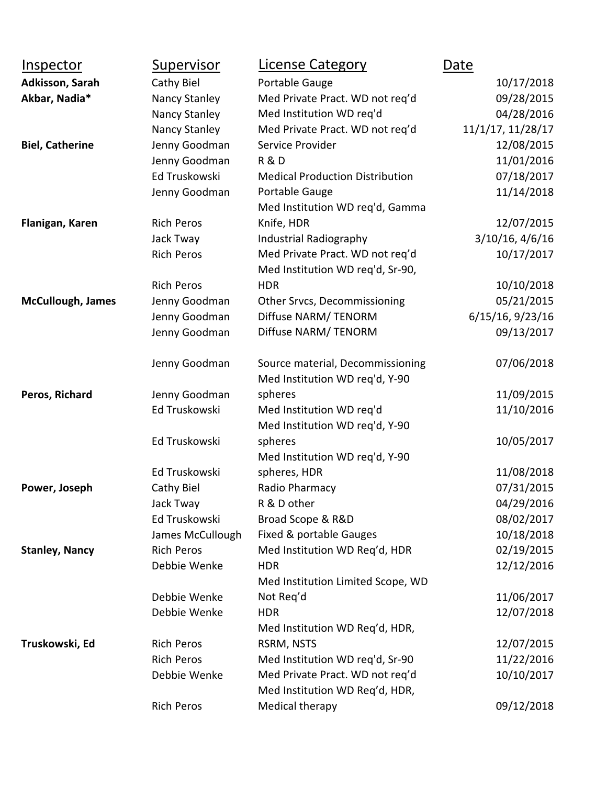| <b>Inspector</b>         | <b>Supervisor</b> | <b>License Category</b>                | Date              |
|--------------------------|-------------------|----------------------------------------|-------------------|
| Adkisson, Sarah          | Cathy Biel        | Portable Gauge                         | 10/17/2018        |
| Akbar, Nadia*            | Nancy Stanley     | Med Private Pract. WD not req'd        | 09/28/2015        |
|                          | Nancy Stanley     | Med Institution WD req'd               | 04/28/2016        |
|                          | Nancy Stanley     | Med Private Pract. WD not req'd        | 11/1/17, 11/28/17 |
| <b>Biel, Catherine</b>   | Jenny Goodman     | Service Provider                       | 12/08/2015        |
|                          | Jenny Goodman     | <b>R&amp;D</b>                         | 11/01/2016        |
|                          | Ed Truskowski     | <b>Medical Production Distribution</b> | 07/18/2017        |
|                          | Jenny Goodman     | Portable Gauge                         | 11/14/2018        |
|                          |                   | Med Institution WD req'd, Gamma        |                   |
| Flanigan, Karen          | <b>Rich Peros</b> | Knife, HDR                             | 12/07/2015        |
|                          | Jack Tway         | Industrial Radiography                 | 3/10/16, 4/6/16   |
|                          | <b>Rich Peros</b> | Med Private Pract. WD not req'd        | 10/17/2017        |
|                          |                   | Med Institution WD req'd, Sr-90,       |                   |
|                          | <b>Rich Peros</b> | <b>HDR</b>                             | 10/10/2018        |
| <b>McCullough, James</b> | Jenny Goodman     | Other Srvcs, Decommissioning           | 05/21/2015        |
|                          | Jenny Goodman     | Diffuse NARM/TENORM                    | 6/15/16, 9/23/16  |
|                          | Jenny Goodman     | Diffuse NARM/TENORM                    | 09/13/2017        |
|                          | Jenny Goodman     | Source material, Decommissioning       | 07/06/2018        |
|                          |                   | Med Institution WD req'd, Y-90         |                   |
| Peros, Richard           | Jenny Goodman     | spheres                                | 11/09/2015        |
|                          | Ed Truskowski     | Med Institution WD req'd               | 11/10/2016        |
|                          | Ed Truskowski     | Med Institution WD req'd, Y-90         |                   |
|                          |                   | spheres                                | 10/05/2017        |
|                          | Ed Truskowski     | Med Institution WD req'd, Y-90         | 11/08/2018        |
| Power, Joseph            | Cathy Biel        | spheres, HDR<br>Radio Pharmacy         | 07/31/2015        |
|                          | Jack Tway         | R & D other                            | 04/29/2016        |
|                          | Ed Truskowski     | Broad Scope & R&D                      | 08/02/2017        |
|                          | James McCullough  | Fixed & portable Gauges                | 10/18/2018        |
| <b>Stanley, Nancy</b>    | <b>Rich Peros</b> | Med Institution WD Req'd, HDR          | 02/19/2015        |
|                          | Debbie Wenke      | <b>HDR</b>                             | 12/12/2016        |
|                          |                   | Med Institution Limited Scope, WD      |                   |
|                          | Debbie Wenke      | Not Req'd                              | 11/06/2017        |
|                          | Debbie Wenke      | <b>HDR</b>                             | 12/07/2018        |
|                          |                   | Med Institution WD Req'd, HDR,         |                   |
| Truskowski, Ed           | <b>Rich Peros</b> | RSRM, NSTS                             | 12/07/2015        |
|                          | <b>Rich Peros</b> | Med Institution WD req'd, Sr-90        | 11/22/2016        |
|                          | Debbie Wenke      | Med Private Pract. WD not req'd        | 10/10/2017        |
|                          |                   | Med Institution WD Req'd, HDR,         |                   |
|                          | <b>Rich Peros</b> | Medical therapy                        | 09/12/2018        |
|                          |                   |                                        |                   |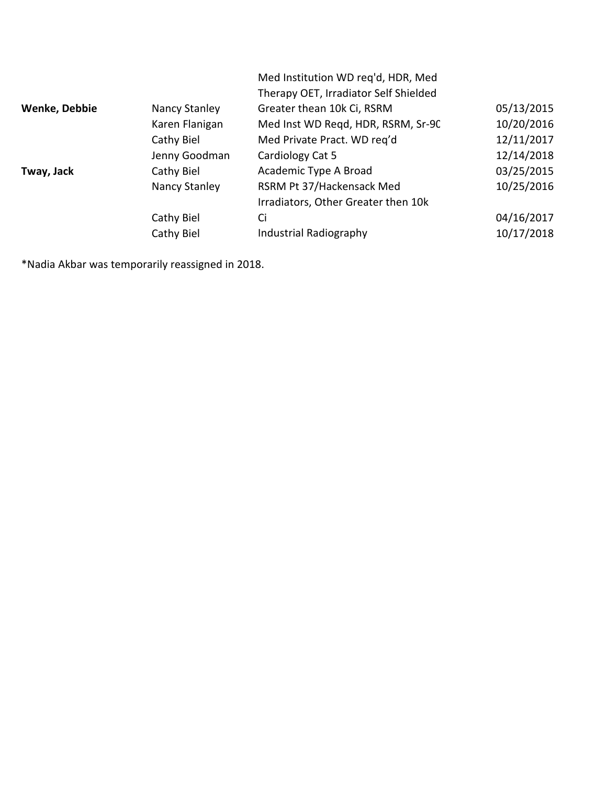|                      |                | Med Institution WD reg'd, HDR, Med<br>Therapy OET, Irradiator Self Shielded |            |
|----------------------|----------------|-----------------------------------------------------------------------------|------------|
| <b>Wenke, Debbie</b> | Nancy Stanley  | Greater thean 10k Ci, RSRM                                                  | 05/13/2015 |
|                      | Karen Flanigan | Med Inst WD Regd, HDR, RSRM, Sr-9C                                          | 10/20/2016 |
|                      | Cathy Biel     | Med Private Pract. WD req'd                                                 | 12/11/2017 |
|                      | Jenny Goodman  | Cardiology Cat 5                                                            | 12/14/2018 |
| Tway, Jack           | Cathy Biel     | Academic Type A Broad                                                       | 03/25/2015 |
|                      | Nancy Stanley  | RSRM Pt 37/Hackensack Med                                                   | 10/25/2016 |
|                      |                | Irradiators, Other Greater then 10k                                         |            |
|                      | Cathy Biel     | Ci                                                                          | 04/16/2017 |
|                      | Cathy Biel     | Industrial Radiography                                                      | 10/17/2018 |

\*Nadia Akbar was temporarily reassigned in 2018.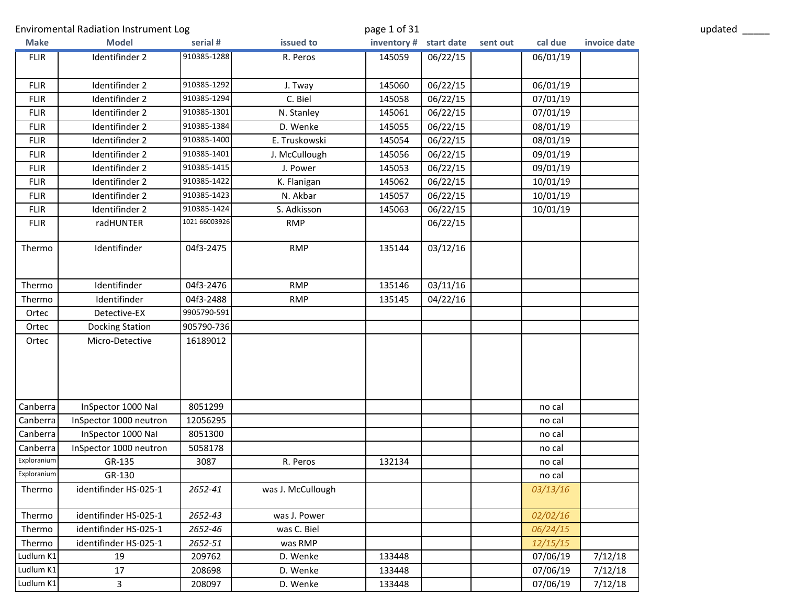|             | <b>Enviromental Radiation Instrument Log</b> |               |                   | page 1 of 31           |          |          |          |              | updated |
|-------------|----------------------------------------------|---------------|-------------------|------------------------|----------|----------|----------|--------------|---------|
| <b>Make</b> | <b>Model</b>                                 | serial #      | issued to         | inventory # start date |          | sent out | cal due  | invoice date |         |
| <b>FLIR</b> | Identifinder 2                               | 910385-1288   | R. Peros          | 145059                 | 06/22/15 |          | 06/01/19 |              |         |
|             |                                              |               |                   |                        |          |          |          |              |         |
| <b>FLIR</b> | Identifinder 2                               | 910385-1292   | J. Tway           | 145060                 | 06/22/15 |          | 06/01/19 |              |         |
| <b>FLIR</b> | Identifinder 2                               | 910385-1294   | C. Biel           | 145058                 | 06/22/15 |          | 07/01/19 |              |         |
| <b>FLIR</b> | Identifinder 2                               | 910385-1301   | N. Stanley        | 145061                 | 06/22/15 |          | 07/01/19 |              |         |
| <b>FLIR</b> | Identifinder 2                               | 910385-1384   | D. Wenke          | 145055                 | 06/22/15 |          | 08/01/19 |              |         |
| <b>FLIR</b> | Identifinder 2                               | 910385-1400   | E. Truskowski     | 145054                 | 06/22/15 |          | 08/01/19 |              |         |
| <b>FLIR</b> | Identifinder 2                               | 910385-1401   | J. McCullough     | 145056                 | 06/22/15 |          | 09/01/19 |              |         |
| <b>FLIR</b> | Identifinder 2                               | 910385-1415   | J. Power          | 145053                 | 06/22/15 |          | 09/01/19 |              |         |
| <b>FLIR</b> | Identifinder 2                               | 910385-1422   | K. Flanigan       | 145062                 | 06/22/15 |          | 10/01/19 |              |         |
| <b>FLIR</b> | Identifinder 2                               | 910385-1423   | N. Akbar          | 145057                 | 06/22/15 |          | 10/01/19 |              |         |
| <b>FLIR</b> | Identifinder 2                               | 910385-1424   | S. Adkisson       | 145063                 | 06/22/15 |          | 10/01/19 |              |         |
| <b>FLIR</b> | radHUNTER                                    | 1021 66003926 | <b>RMP</b>        |                        | 06/22/15 |          |          |              |         |
| Thermo      | Identifinder                                 | 04f3-2475     | <b>RMP</b>        | 135144                 | 03/12/16 |          |          |              |         |
| Thermo      | Identifinder                                 | 04f3-2476     | <b>RMP</b>        | 135146                 | 03/11/16 |          |          |              |         |
| Thermo      | Identifinder                                 | 04f3-2488     | <b>RMP</b>        | 135145                 | 04/22/16 |          |          |              |         |
| Ortec       | Detective-EX                                 | 9905790-591   |                   |                        |          |          |          |              |         |
| Ortec       | <b>Docking Station</b>                       | 905790-736    |                   |                        |          |          |          |              |         |
| Ortec       | Micro-Detective                              | 16189012      |                   |                        |          |          |          |              |         |
|             |                                              |               |                   |                        |          |          |          |              |         |
| Canberra    | InSpector 1000 Nal                           | 8051299       |                   |                        |          |          | no cal   |              |         |
| Canberra    | InSpector 1000 neutron                       | 12056295      |                   |                        |          |          | no cal   |              |         |
| Canberra    | InSpector 1000 Nal                           | 8051300       |                   |                        |          |          | no cal   |              |         |
| Canberra    | InSpector 1000 neutron                       | 5058178       |                   |                        |          |          | no cal   |              |         |
| Exploranium | GR-135                                       | 3087          | R. Peros          | 132134                 |          |          | no cal   |              |         |
| Exploranium | GR-130                                       |               |                   |                        |          |          | no cal   |              |         |
| Thermo      | identifinder HS-025-1                        | 2652-41       | was J. McCullough |                        |          |          | 03/13/16 |              |         |
| Thermo      | identifinder HS-025-1                        | 2652-43       | was J. Power      |                        |          |          | 02/02/16 |              |         |
| Thermo      | identifinder HS-025-1                        | 2652-46       | was C. Biel       |                        |          |          | 06/24/15 |              |         |
| Thermo      | identifinder HS-025-1                        | 2652-51       | was RMP           |                        |          |          | 12/15/15 |              |         |
| Ludlum K1   | 19                                           | 209762        | D. Wenke          | 133448                 |          |          | 07/06/19 | 7/12/18      |         |
| Ludlum K1   | 17                                           | 208698        | D. Wenke          | 133448                 |          |          | 07/06/19 | 7/12/18      |         |
| Ludlum K1   | $\mathbf{3}$                                 | 208097        | D. Wenke          | 133448                 |          |          | 07/06/19 | 7/12/18      |         |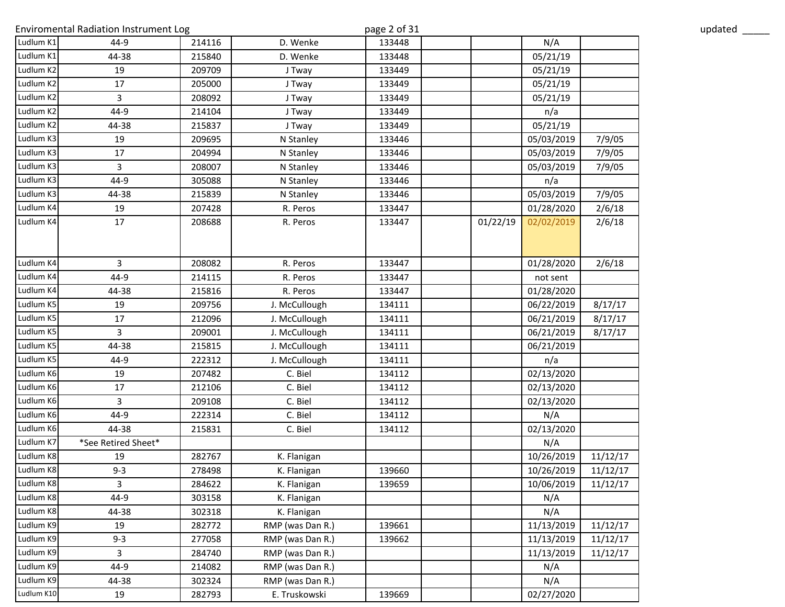|                      | <b>Enviromental Radiation Instrument Log</b> |        |                  | page 2 of 31 |          |            |          |
|----------------------|----------------------------------------------|--------|------------------|--------------|----------|------------|----------|
| Ludlum K1            | 44-9                                         | 214116 | D. Wenke         | 133448       |          | N/A        |          |
| Ludlum K1            | 44-38                                        | 215840 | D. Wenke         | 133448       |          | 05/21/19   |          |
| Ludlum K2            | 19                                           | 209709 | J Tway           | 133449       |          | 05/21/19   |          |
| Ludlum K2            | 17                                           | 205000 | J Tway           | 133449       |          | 05/21/19   |          |
| Ludlum K2            | 3                                            | 208092 | J Tway           | 133449       |          | 05/21/19   |          |
| Ludlum K2            | 44-9                                         | 214104 | J Tway           | 133449       |          | n/a        |          |
| Ludlum K2            | 44-38                                        | 215837 | J Tway           | 133449       |          | 05/21/19   |          |
| Ludlum K3            | 19                                           | 209695 | N Stanley        | 133446       |          | 05/03/2019 | 7/9/05   |
| Ludlum K3            | 17                                           | 204994 | N Stanley        | 133446       |          | 05/03/2019 | 7/9/05   |
| Ludlum K3            | 3                                            | 208007 | N Stanley        | 133446       |          | 05/03/2019 | 7/9/05   |
| Ludlum K3            | 44-9                                         | 305088 | N Stanley        | 133446       |          | n/a        |          |
| Ludlum K3            | 44-38                                        | 215839 | N Stanley        | 133446       |          | 05/03/2019 | 7/9/05   |
| Ludlum K4            | 19                                           | 207428 | R. Peros         | 133447       |          | 01/28/2020 | 2/6/18   |
| Ludlum K4            | 17                                           | 208688 | R. Peros         | 133447       | 01/22/19 | 02/02/2019 | 2/6/18   |
| Ludlum K4            | $\mathbf{3}$                                 | 208082 | R. Peros         | 133447       |          | 01/28/2020 | 2/6/18   |
| Ludlum K4            | 44-9                                         | 214115 | R. Peros         | 133447       |          | not sent   |          |
| Ludlum K4            | 44-38                                        | 215816 | R. Peros         | 133447       |          | 01/28/2020 |          |
| Ludlum K5            | 19                                           | 209756 | J. McCullough    | 134111       |          | 06/22/2019 | 8/17/17  |
| Ludlum K5            | 17                                           | 212096 | J. McCullough    | 134111       |          | 06/21/2019 | 8/17/17  |
| Ludlum K5            | 3                                            | 209001 | J. McCullough    | 134111       |          | 06/21/2019 | 8/17/17  |
| Ludlum K5            | 44-38                                        | 215815 | J. McCullough    | 134111       |          | 06/21/2019 |          |
| Ludlum K5            | 44-9                                         | 222312 | J. McCullough    | 134111       |          | n/a        |          |
| Ludlum K6            | 19                                           | 207482 | C. Biel          | 134112       |          | 02/13/2020 |          |
| Ludlum <sub>K6</sub> | $17\,$                                       | 212106 | C. Biel          | 134112       |          | 02/13/2020 |          |
| Ludlum K6            | $\overline{3}$                               | 209108 | C. Biel          | 134112       |          | 02/13/2020 |          |
| Ludlum K6            | 44-9                                         | 222314 | C. Biel          | 134112       |          | N/A        |          |
| Ludlum K6            | 44-38                                        | 215831 | C. Biel          | 134112       |          | 02/13/2020 |          |
| Ludlum K7            | *See Retired Sheet*                          |        |                  |              |          | N/A        |          |
| Ludlum K8            | 19                                           | 282767 | K. Flanigan      |              |          | 10/26/2019 | 11/12/17 |
| Ludlum K8            | $9 - 3$                                      | 278498 | K. Flanigan      | 139660       |          | 10/26/2019 | 11/12/17 |
| Ludlum K8            | 3                                            | 284622 | K. Flanigan      | 139659       |          | 10/06/2019 | 11/12/17 |
| Ludlum <sub>K8</sub> | 44-9                                         | 303158 | K. Flanigan      |              |          | N/A        |          |
| Ludlum K8            | 44-38                                        | 302318 | K. Flanigan      |              |          | N/A        |          |
| Ludlum K9            | 19                                           | 282772 | RMP (was Dan R.) | 139661       |          | 11/13/2019 | 11/12/17 |
| Ludlum K9            | $9 - 3$                                      | 277058 | RMP (was Dan R.) | 139662       |          | 11/13/2019 | 11/12/17 |
| Ludlum K9            | $\overline{3}$                               | 284740 | RMP (was Dan R.) |              |          | 11/13/2019 | 11/12/17 |
| Ludlum K9            | 44-9                                         | 214082 | RMP (was Dan R.) |              |          | N/A        |          |
| Ludlum K9            | 44-38                                        | 302324 | RMP (was Dan R.) |              |          | N/A        |          |
| Ludlum K10           | 19                                           | 282793 | E. Truskowski    | 139669       |          | 02/27/2020 |          |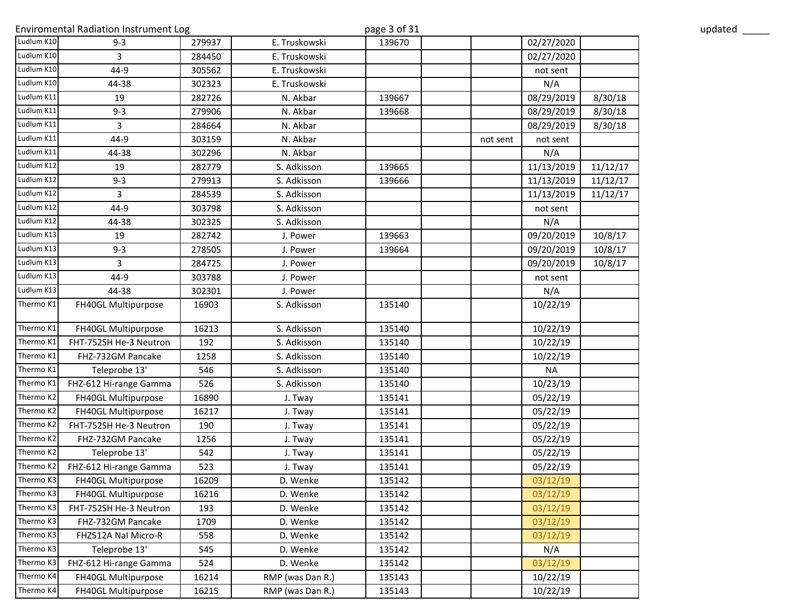|            | <b>Enviromental Radiation Instrument Log</b> |        |                  | page 3 of 31 |          |            |          | updated $\qquad \qquad$ |
|------------|----------------------------------------------|--------|------------------|--------------|----------|------------|----------|-------------------------|
| Ludlum K10 | $9 - 3$                                      | 279937 | E. Truskowski    | 139670       |          | 02/27/2020 |          |                         |
| Ludlum K10 | 3                                            | 284450 | E. Truskowski    |              |          | 02/27/2020 |          |                         |
| Ludlum K10 | 44-9                                         | 305562 | E. Truskowski    |              |          | not sent   |          |                         |
| Ludlum K10 | 44-38                                        | 302323 | E. Truskowski    |              |          | N/A        |          |                         |
| Ludlum K11 | 19                                           | 282726 | N. Akbar         | 139667       |          | 08/29/2019 | 8/30/18  |                         |
| Ludlum K11 | $9 - 3$                                      | 279906 | N. Akbar         | 139668       |          | 08/29/2019 | 8/30/18  |                         |
| Ludlum K11 | 3                                            | 284664 | N. Akbar         |              |          | 08/29/2019 | 8/30/18  |                         |
| Ludlum K11 | 44-9                                         | 303159 | N. Akbar         |              | not sent | not sent   |          |                         |
| Ludlum K11 | 44-38                                        | 302296 | N. Akbar         |              |          | N/A        |          |                         |
| Ludlum K12 | 19                                           | 282779 | S. Adkisson      | 139665       |          | 11/13/2019 | 11/12/17 |                         |
| Ludlum K12 | $9 - 3$                                      | 279913 | S. Adkisson      | 139666       |          | 11/13/2019 | 11/12/17 |                         |
| Ludlum K12 | 3                                            | 284539 | S. Adkisson      |              |          | 11/13/2019 | 11/12/17 |                         |
| Ludlum K12 | 44-9                                         | 303798 | S. Adkisson      |              |          | not sent   |          |                         |
| Ludlum K12 | 44-38                                        | 302325 | S. Adkisson      |              |          | N/A        |          |                         |
| Ludlum K13 | 19                                           | 282742 | J. Power         | 139663       |          | 09/20/2019 | 10/8/17  |                         |
| Ludlum K13 | $9 - 3$                                      | 278505 | J. Power         | 139664       |          | 09/20/2019 | 10/8/17  |                         |
| Ludlum K13 | 3                                            | 284725 | J. Power         |              |          | 09/20/2019 | 10/8/17  |                         |
| Ludlum K13 | 44-9                                         | 303788 | J. Power         |              |          | not sent   |          |                         |
| Ludlum K13 | 44-38                                        | 302301 | J. Power         |              |          | N/A        |          |                         |
| Thermo K1  | FH40GL Multipurpose                          | 16903  | S. Adkisson      | 135140       |          | 10/22/19   |          |                         |
| Thermo K1  | FH40GL Multipurpose                          | 16213  | S. Adkisson      | 135140       |          | 10/22/19   |          |                         |
| Thermo K1  | FHT-752SH He-3 Neutron                       | 192    | S. Adkisson      | 135140       |          | 10/22/19   |          |                         |
| Thermo K1  | FHZ-732GM Pancake                            | 1258   | S. Adkisson      | 135140       |          | 10/22/19   |          |                         |
| Thermo K1  | Teleprobe 13'                                | 546    | S. Adkisson      | 135140       |          | <b>NA</b>  |          |                         |
| Thermo K1  | FHZ-612 Hi-range Gamma                       | 526    | S. Adkisson      | 135140       |          | 10/23/19   |          |                         |
| Thermo K2  | FH40GL Multipurpose                          | 16890  | J. Tway          | 135141       |          | 05/22/19   |          |                         |
| Thermo K2  | FH40GL Multipurpose                          | 16217  | J. Tway          | 135141       |          | 05/22/19   |          |                         |
| Thermo K2  | FHT-752SH He-3 Neutron                       | 190    | J. Tway          | 135141       |          | 05/22/19   |          |                         |
| Thermo K2  | FHZ-732GM Pancake                            | 1256   | J. Tway          | 135141       |          | 05/22/19   |          |                         |
| Thermo K2  | Teleprobe 13'                                | 542    | J. Tway          | 135141       |          | 05/22/19   |          |                         |
|            | Thermo K2 FHZ-612 Hi-range Gamma             | 523    | J. Tway          | 135141       |          | 05/22/19   |          |                         |
| Thermo K3  | FH40GL Multipurpose                          | 16209  | D. Wenke         | 135142       |          | 03/12/19   |          |                         |
| Thermo K3  | FH40GL Multipurpose                          | 16216  | D. Wenke         | 135142       |          | 03/12/19   |          |                         |
| Thermo K3  | FHT-752SH He-3 Neutron                       | 193    | D. Wenke         | 135142       |          | 03/12/19   |          |                         |
| Thermo K3  | FHZ-732GM Pancake                            | 1709   | D. Wenke         | 135142       |          | 03/12/19   |          |                         |
| Thermo K3  | FHZ512A Nal Micro-R                          | 558    | D. Wenke         | 135142       |          | 03/12/19   |          |                         |
| Thermo K3  | Teleprobe 13'                                | 545    | D. Wenke         | 135142       |          | N/A        |          |                         |
| Thermo K3  | FHZ-612 Hi-range Gamma                       | 524    | D. Wenke         | 135142       |          | 03/12/19   |          |                         |
| Thermo K4  | FH40GL Multipurpose                          | 16214  | RMP (was Dan R.) | 135143       |          | 10/22/19   |          |                         |
| Thermo K4  | FH40GL Multipurpose                          | 16215  | RMP (was Dan R.) | 135143       |          | 10/22/19   |          |                         |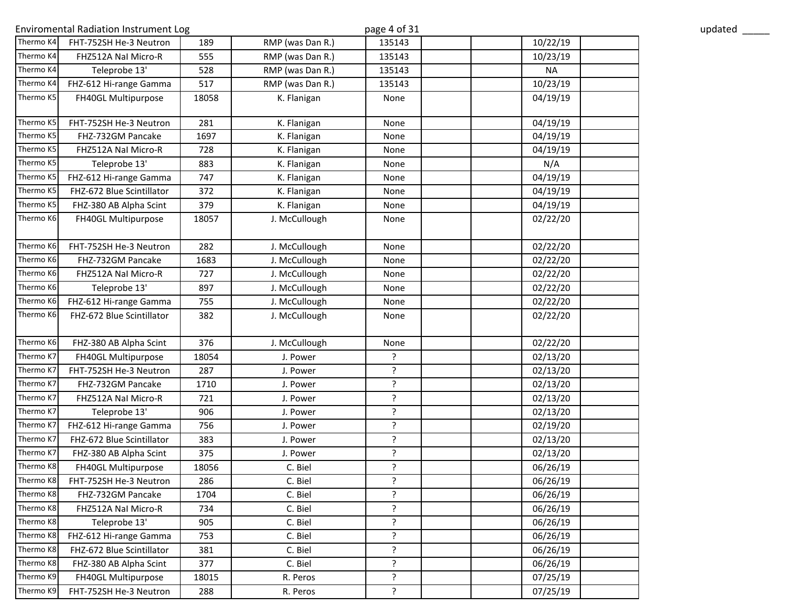|           | <b>Enviromental Radiation Instrument Log</b> |       |                  | page 4 of 31       |           | updated $\qquad \qquad$ |
|-----------|----------------------------------------------|-------|------------------|--------------------|-----------|-------------------------|
| Thermo K4 | FHT-752SH He-3 Neutron                       | 189   | RMP (was Dan R.) | 135143             | 10/22/19  |                         |
| Thermo K4 | FHZ512A Nal Micro-R                          | 555   | RMP (was Dan R.) | 135143             | 10/23/19  |                         |
| Thermo K4 | Teleprobe 13'                                | 528   | RMP (was Dan R.) | 135143             | <b>NA</b> |                         |
| Thermo K4 | FHZ-612 Hi-range Gamma                       | 517   | RMP (was Dan R.) | 135143             | 10/23/19  |                         |
| Thermo K5 | FH40GL Multipurpose                          | 18058 | K. Flanigan      | None               | 04/19/19  |                         |
|           |                                              |       |                  |                    |           |                         |
| Thermo K5 | FHT-752SH He-3 Neutron                       | 281   | K. Flanigan      | None               | 04/19/19  |                         |
| Thermo K5 | FHZ-732GM Pancake                            | 1697  | K. Flanigan      | None               | 04/19/19  |                         |
| Thermo K5 | FHZ512A Nal Micro-R                          | 728   | K. Flanigan      | None               | 04/19/19  |                         |
| Thermo K5 | Teleprobe 13'                                | 883   | K. Flanigan      | None               | N/A       |                         |
| Thermo K5 | FHZ-612 Hi-range Gamma                       | 747   | K. Flanigan      | None               | 04/19/19  |                         |
| Thermo K5 | FHZ-672 Blue Scintillator                    | 372   | K. Flanigan      | None               | 04/19/19  |                         |
| Thermo K5 | FHZ-380 AB Alpha Scint                       | 379   | K. Flanigan      | None               | 04/19/19  |                         |
| Thermo K6 | FH40GL Multipurpose                          | 18057 | J. McCullough    | None               | 02/22/20  |                         |
| Thermo K6 | FHT-752SH He-3 Neutron                       | 282   | J. McCullough    | None               | 02/22/20  |                         |
| Thermo K6 | FHZ-732GM Pancake                            | 1683  | J. McCullough    | None               | 02/22/20  |                         |
| Thermo K6 | FHZ512A Nal Micro-R                          | 727   | J. McCullough    | None               | 02/22/20  |                         |
| Thermo K6 | Teleprobe 13'                                | 897   | J. McCullough    | None               | 02/22/20  |                         |
| Thermo K6 | FHZ-612 Hi-range Gamma                       | 755   | J. McCullough    | None               | 02/22/20  |                         |
| Thermo K6 | FHZ-672 Blue Scintillator                    | 382   | J. McCullough    | None               | 02/22/20  |                         |
| Thermo K6 | FHZ-380 AB Alpha Scint                       | 376   | J. McCullough    | None               | 02/22/20  |                         |
| Thermo K7 | FH40GL Multipurpose                          | 18054 | J. Power         | ?                  | 02/13/20  |                         |
| Thermo K7 | FHT-752SH He-3 Neutron                       | 287   | J. Power         | ?                  | 02/13/20  |                         |
| Thermo K7 | FHZ-732GM Pancake                            | 1710  | J. Power         | ?                  | 02/13/20  |                         |
| Thermo K7 | FHZ512A Nal Micro-R                          | 721   | J. Power         | ?                  | 02/13/20  |                         |
| Thermo K7 | Teleprobe 13'                                | 906   | J. Power         | ?                  | 02/13/20  |                         |
| Thermo K7 | FHZ-612 Hi-range Gamma                       | 756   | J. Power         | ?                  | 02/19/20  |                         |
| Thermo K7 | FHZ-672 Blue Scintillator                    | 383   | J. Power         | ?                  | 02/13/20  |                         |
| Thermo K7 | FHZ-380 AB Alpha Scint                       | 375   | J. Power         | ?                  | 02/13/20  |                         |
| Thermo K8 | <b>FH40GL Multipurpose</b>                   | 18056 | C. Biel          | ?                  | 06/26/19  |                         |
| Thermo K8 | FHT-752SH He-3 Neutron                       | 286   | C. Biel          | $\overline{?}$     | 06/26/19  |                         |
| Thermo K8 | FHZ-732GM Pancake                            | 1704  | C. Biel          | ?                  | 06/26/19  |                         |
| Thermo K8 | FHZ512A Nal Micro-R                          | 734   | C. Biel          | ?                  | 06/26/19  |                         |
| Thermo K8 | Teleprobe 13'                                | 905   | C. Biel          | ?                  | 06/26/19  |                         |
| Thermo K8 |                                              |       |                  | $\overline{?}$     |           |                         |
|           | FHZ-612 Hi-range Gamma                       | 753   | C. Biel          |                    | 06/26/19  |                         |
| Thermo K8 | FHZ-672 Blue Scintillator                    | 381   | C. Biel          | $\mathbf{\hat{z}}$ | 06/26/19  |                         |
| Thermo K8 | FHZ-380 AB Alpha Scint                       | 377   | C. Biel          | ?                  | 06/26/19  |                         |
| Thermo K9 | FH40GL Multipurpose                          | 18015 | R. Peros         | $\tilde{.}$        | 07/25/19  |                         |
| Thermo K9 | FHT-752SH He-3 Neutron                       | 288   | R. Peros         | $\mathbf{\hat{z}}$ | 07/25/19  |                         |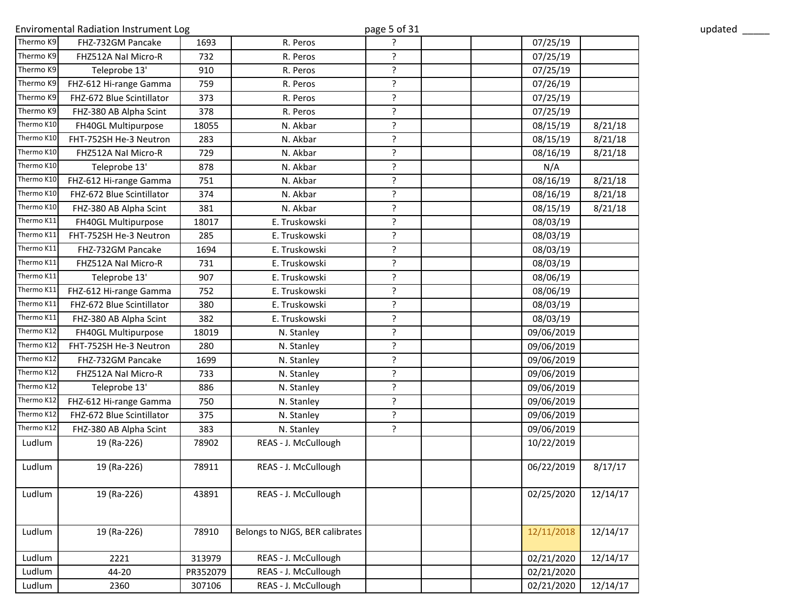|            | <b>Enviromental Radiation Instrument Log</b> |          |                                 | page 5 of 31 |            |          | updated $\qquad \qquad$ |
|------------|----------------------------------------------|----------|---------------------------------|--------------|------------|----------|-------------------------|
| Thermo K9  | FHZ-732GM Pancake                            | 1693     | R. Peros                        |              | 07/25/19   |          |                         |
| Thermo K9  | FHZ512A Nal Micro-R                          | 732      | R. Peros                        | 2            | 07/25/19   |          |                         |
| Thermo K9  | Teleprobe 13'                                | 910      | R. Peros                        | ç.           | 07/25/19   |          |                         |
| Thermo K9  | FHZ-612 Hi-range Gamma                       | 759      | R. Peros                        | ç.           | 07/26/19   |          |                         |
| Thermo K9  | FHZ-672 Blue Scintillator                    | 373      | R. Peros                        | ?            | 07/25/19   |          |                         |
| Thermo K9  | FHZ-380 AB Alpha Scint                       | 378      | R. Peros                        | ?            | 07/25/19   |          |                         |
| Thermo K10 | FH40GL Multipurpose                          | 18055    | N. Akbar                        | ?            | 08/15/19   | 8/21/18  |                         |
| Thermo K10 | FHT-752SH He-3 Neutron                       | 283      | N. Akbar                        | ?            | 08/15/19   | 8/21/18  |                         |
| Thermo K10 | FHZ512A Nal Micro-R                          | 729      | N. Akbar                        | ?            | 08/16/19   | 8/21/18  |                         |
| Thermo K10 | Teleprobe 13'                                | 878      | N. Akbar                        | ?            | N/A        |          |                         |
| Thermo K10 | FHZ-612 Hi-range Gamma                       | 751      | N. Akbar                        | ç.           | 08/16/19   | 8/21/18  |                         |
| Thermo K10 | FHZ-672 Blue Scintillator                    | 374      | N. Akbar                        | ?            | 08/16/19   | 8/21/18  |                         |
| Thermo K10 | FHZ-380 AB Alpha Scint                       | 381      | N. Akbar                        | ?            | 08/15/19   | 8/21/18  |                         |
| Thermo K11 | FH40GL Multipurpose                          | 18017    | E. Truskowski                   | ?            | 08/03/19   |          |                         |
| Thermo K11 | FHT-752SH He-3 Neutron                       | 285      | E. Truskowski                   | ?            | 08/03/19   |          |                         |
| Thermo K11 | FHZ-732GM Pancake                            | 1694     | E. Truskowski                   | ?            | 08/03/19   |          |                         |
| Thermo K11 | FHZ512A Nal Micro-R                          | 731      | E. Truskowski                   | ç.           | 08/03/19   |          |                         |
| Thermo K11 | Teleprobe 13'                                | 907      | E. Truskowski                   | ?            | 08/06/19   |          |                         |
| Thermo K11 | FHZ-612 Hi-range Gamma                       | 752      | E. Truskowski                   | ?            | 08/06/19   |          |                         |
| Thermo K11 | FHZ-672 Blue Scintillator                    | 380      | E. Truskowski                   | ?            | 08/03/19   |          |                         |
| Thermo K11 | FHZ-380 AB Alpha Scint                       | 382      | E. Truskowski                   | ?            | 08/03/19   |          |                         |
| Thermo K12 | FH40GL Multipurpose                          | 18019    | N. Stanley                      | ç.           | 09/06/2019 |          |                         |
| Thermo K12 | FHT-752SH He-3 Neutron                       | 280      | N. Stanley                      | ?            | 09/06/2019 |          |                         |
| Thermo K12 | FHZ-732GM Pancake                            | 1699     | N. Stanley                      | ?            | 09/06/2019 |          |                         |
| Thermo K12 | FHZ512A Nal Micro-R                          | 733      | N. Stanley                      | ç.           | 09/06/2019 |          |                         |
| Thermo K12 | Teleprobe 13'                                | 886      | N. Stanley                      | ?            | 09/06/2019 |          |                         |
| Thermo K12 | FHZ-612 Hi-range Gamma                       | 750      | N. Stanley                      | ?            | 09/06/2019 |          |                         |
| Thermo K12 | FHZ-672 Blue Scintillator                    | 375      | N. Stanley                      | ç.           | 09/06/2019 |          |                         |
| Thermo K12 | FHZ-380 AB Alpha Scint                       | 383      | N. Stanley                      | ?            | 09/06/2019 |          |                         |
| Ludlum     | 19 (Ra-226)                                  | 78902    | REAS - J. McCullough            |              | 10/22/2019 |          |                         |
| Ludlum     | 19 (Ra-226)                                  | 78911    | REAS - J. McCullough            |              | 06/22/2019 | 8/17/17  |                         |
| Ludlum     | 19 (Ra-226)                                  | 43891    | REAS - J. McCullough            |              | 02/25/2020 | 12/14/17 |                         |
| Ludlum     | 19 (Ra-226)                                  | 78910    | Belongs to NJGS, BER calibrates |              | 12/11/2018 | 12/14/17 |                         |
| Ludlum     | 2221                                         | 313979   | REAS - J. McCullough            |              | 02/21/2020 | 12/14/17 |                         |
| Ludlum     | 44-20                                        | PR352079 | REAS - J. McCullough            |              | 02/21/2020 |          |                         |
| Ludlum     | 2360                                         | 307106   | REAS - J. McCullough            |              | 02/21/2020 | 12/14/17 |                         |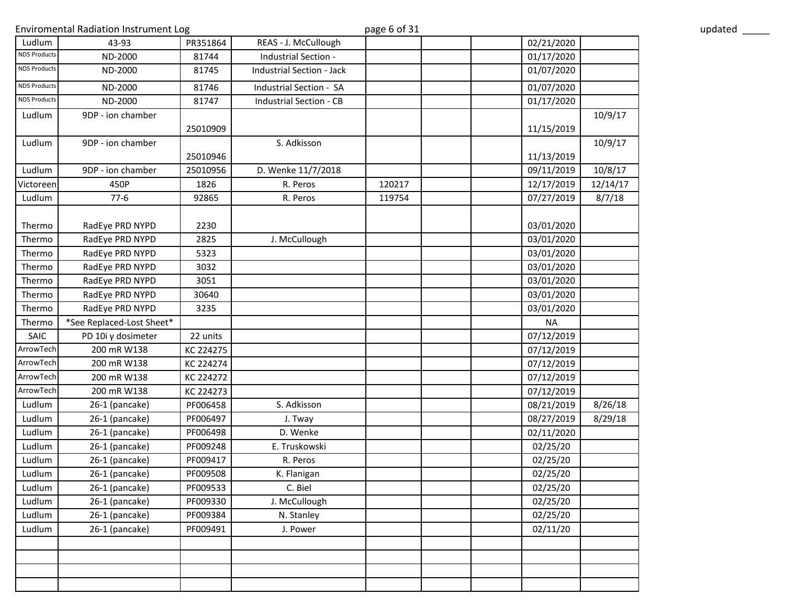|                     | <b>Enviromental Radiation Instrument Log</b> |           |                                | page 6 of 31 |  |            |          | updated |
|---------------------|----------------------------------------------|-----------|--------------------------------|--------------|--|------------|----------|---------|
| Ludlum              | 43-93                                        | PR351864  | REAS - J. McCullough           |              |  | 02/21/2020 |          |         |
| <b>NDS Products</b> | ND-2000                                      | 81744     | Industrial Section -           |              |  | 01/17/2020 |          |         |
| <b>NDS Products</b> | ND-2000                                      | 81745     | Industrial Section - Jack      |              |  | 01/07/2020 |          |         |
| <b>NDS Products</b> | ND-2000                                      | 81746     | Industrial Section - SA        |              |  | 01/07/2020 |          |         |
| <b>NDS Products</b> | ND-2000                                      | 81747     | <b>Industrial Section - CB</b> |              |  | 01/17/2020 |          |         |
| Ludlum              | 9DP - ion chamber                            | 25010909  |                                |              |  | 11/15/2019 | 10/9/17  |         |
| Ludlum              | 9DP - ion chamber                            | 25010946  | S. Adkisson                    |              |  | 11/13/2019 | 10/9/17  |         |
| Ludlum              | 9DP - ion chamber                            | 25010956  | D. Wenke 11/7/2018             |              |  | 09/11/2019 | 10/8/17  |         |
| Victoreen           | 450P                                         | 1826      | R. Peros                       | 120217       |  | 12/17/2019 | 12/14/17 |         |
| Ludlum              | $77-6$                                       | 92865     | R. Peros                       | 119754       |  | 07/27/2019 | 8/7/18   |         |
| Thermo              | RadEye PRD NYPD                              | 2230      |                                |              |  | 03/01/2020 |          |         |
| Thermo              | RadEye PRD NYPD                              | 2825      | J. McCullough                  |              |  | 03/01/2020 |          |         |
| Thermo              | RadEye PRD NYPD                              | 5323      |                                |              |  | 03/01/2020 |          |         |
| Thermo              | RadEye PRD NYPD                              | 3032      |                                |              |  | 03/01/2020 |          |         |
| Thermo              | RadEye PRD NYPD                              | 3051      |                                |              |  | 03/01/2020 |          |         |
| Thermo              | RadEye PRD NYPD                              | 30640     |                                |              |  | 03/01/2020 |          |         |
| Thermo              | RadEye PRD NYPD                              | 3235      |                                |              |  | 03/01/2020 |          |         |
| Thermo              | *See Replaced-Lost Sheet*                    |           |                                |              |  | <b>NA</b>  |          |         |
| SAIC                | PD 10i γ dosimeter                           | 22 units  |                                |              |  | 07/12/2019 |          |         |
| ArrowTech           | 200 mR W138                                  | KC 224275 |                                |              |  | 07/12/2019 |          |         |
| ArrowTech           | 200 mR W138                                  | KC 224274 |                                |              |  | 07/12/2019 |          |         |
| ArrowTech           | 200 mR W138                                  | KC 224272 |                                |              |  | 07/12/2019 |          |         |
| ArrowTech           | 200 mR W138                                  | KC 224273 |                                |              |  | 07/12/2019 |          |         |
| Ludlum              | 26-1 (pancake)                               | PF006458  | S. Adkisson                    |              |  | 08/21/2019 | 8/26/18  |         |
| Ludlum              | 26-1 (pancake)                               | PF006497  | J. Tway                        |              |  | 08/27/2019 | 8/29/18  |         |
| Ludlum              | 26-1 (pancake)                               | PF006498  | D. Wenke                       |              |  | 02/11/2020 |          |         |
| Ludlum              | 26-1 (pancake)                               | PF009248  | E. Truskowski                  |              |  | 02/25/20   |          |         |
| Ludlum              | 26-1 (pancake)                               | PF009417  | R. Peros                       |              |  | 02/25/20   |          |         |
| Ludlum              | 26-1 (pancake)                               | PF009508  | K. Flanigan                    |              |  | 02/25/20   |          |         |
| Ludlum              | 26-1 (pancake)                               | PF009533  | C. Biel                        |              |  | 02/25/20   |          |         |
| Ludlum              | 26-1 (pancake)                               | PF009330  | J. McCullough                  |              |  | 02/25/20   |          |         |
| Ludlum              | 26-1 (pancake)                               | PF009384  | N. Stanley                     |              |  | 02/25/20   |          |         |
| Ludlum              | 26-1 (pancake)                               | PF009491  | J. Power                       |              |  | 02/11/20   |          |         |
|                     |                                              |           |                                |              |  |            |          |         |
|                     |                                              |           |                                |              |  |            |          |         |
|                     |                                              |           |                                |              |  |            |          |         |
|                     |                                              |           |                                |              |  |            |          |         |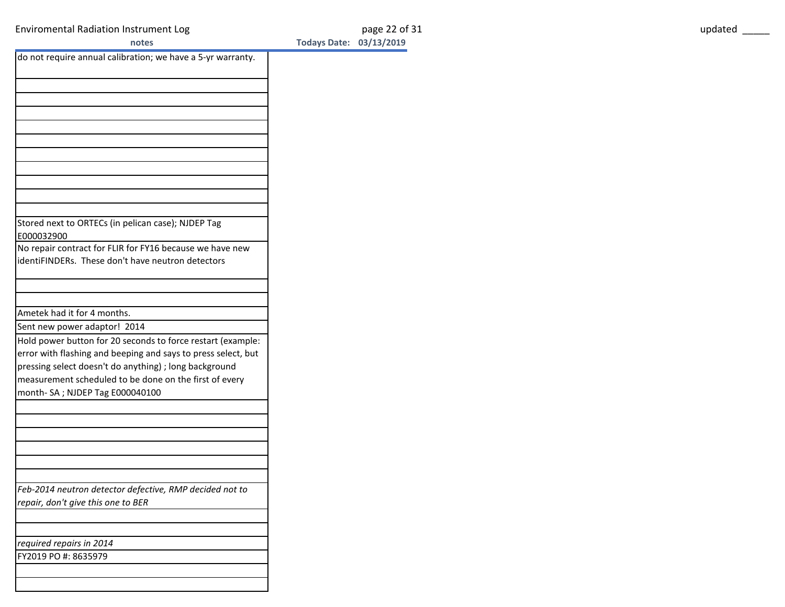| notes                                                                                                            |  |
|------------------------------------------------------------------------------------------------------------------|--|
| do not require annual calibration; we have a 5-yr warranty.                                                      |  |
|                                                                                                                  |  |
|                                                                                                                  |  |
|                                                                                                                  |  |
|                                                                                                                  |  |
|                                                                                                                  |  |
|                                                                                                                  |  |
|                                                                                                                  |  |
|                                                                                                                  |  |
|                                                                                                                  |  |
| Stored next to ORTECs (in pelican case); NJDEP Tag<br>E000032900                                                 |  |
| No repair contract for FLIR for FY16 because we have new                                                         |  |
| identiFINDERs. These don't have neutron detectors                                                                |  |
|                                                                                                                  |  |
|                                                                                                                  |  |
| Ametek had it for 4 months.                                                                                      |  |
| Sent new power adaptor! 2014                                                                                     |  |
| Hold power button for 20 seconds to force restart (example:                                                      |  |
| error with flashing and beeping and says to press select, but                                                    |  |
| pressing select doesn't do anything) ; long background<br>measurement scheduled to be done on the first of every |  |
| month-SA; NJDEP Tag E000040100                                                                                   |  |
|                                                                                                                  |  |
|                                                                                                                  |  |
|                                                                                                                  |  |
|                                                                                                                  |  |
|                                                                                                                  |  |
| Feb-2014 neutron detector defective, RMP decided not to                                                          |  |
| repair, don't give this one to BER                                                                               |  |
|                                                                                                                  |  |
|                                                                                                                  |  |
| required repairs in 2014                                                                                         |  |
| FY2019 PO #: 8635979                                                                                             |  |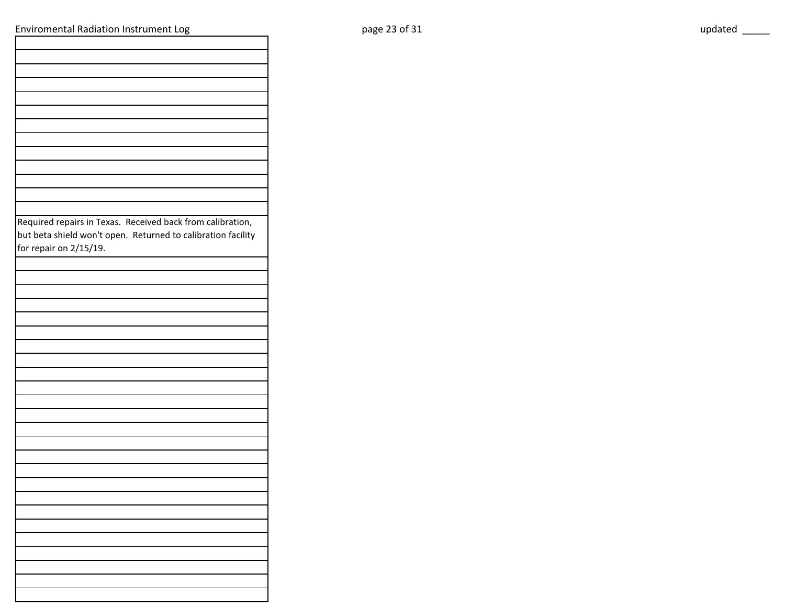Required repairs in Texas. Received back from calibration, but beta shield won't open. Returned to calibration facility for repair on 2/15/19.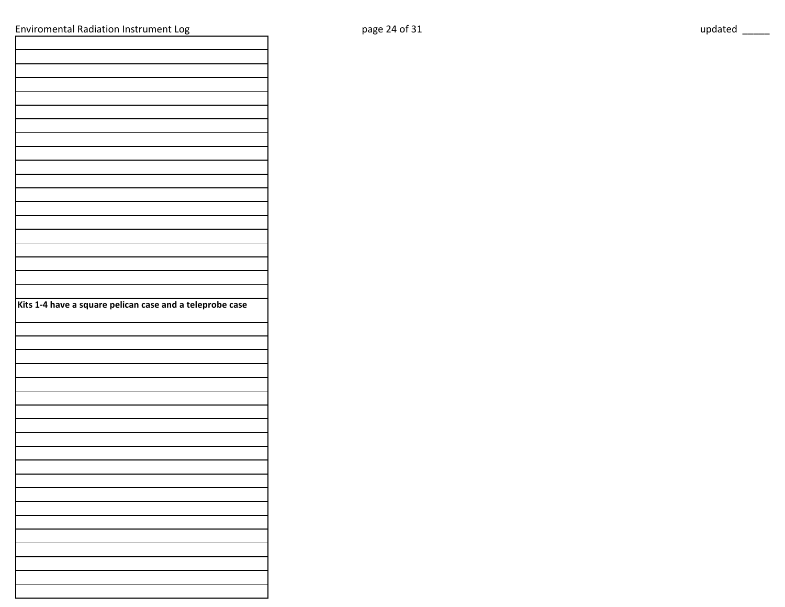| Kits 1-4 have a square pelican case and a teleprobe case |  |
|----------------------------------------------------------|--|
|                                                          |  |
|                                                          |  |
|                                                          |  |
|                                                          |  |
|                                                          |  |
|                                                          |  |
|                                                          |  |
|                                                          |  |
|                                                          |  |
|                                                          |  |
|                                                          |  |
|                                                          |  |
|                                                          |  |
|                                                          |  |
|                                                          |  |
|                                                          |  |
|                                                          |  |
|                                                          |  |
|                                                          |  |
|                                                          |  |
|                                                          |  |
|                                                          |  |
|                                                          |  |
|                                                          |  |
|                                                          |  |
|                                                          |  |
|                                                          |  |
|                                                          |  |
|                                                          |  |
|                                                          |  |
|                                                          |  |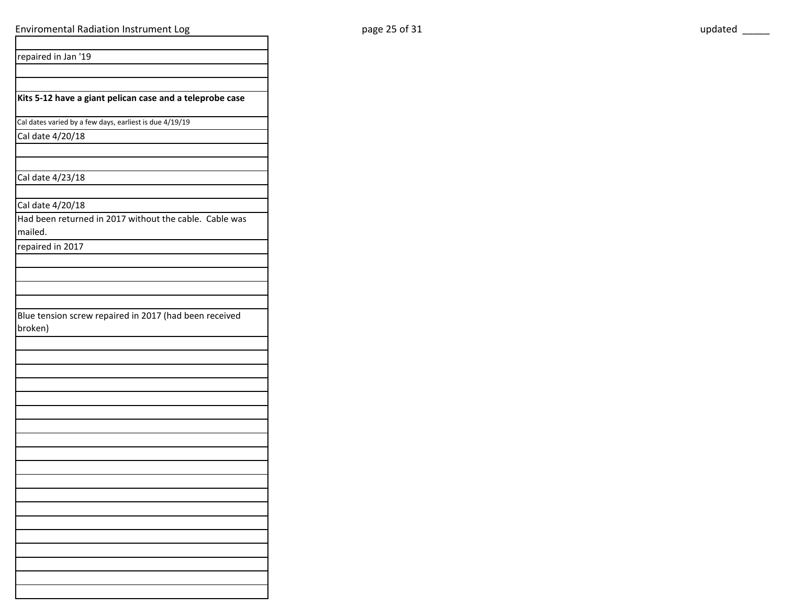| repaired in Jan '19                                      |  |
|----------------------------------------------------------|--|
|                                                          |  |
|                                                          |  |
| Kits 5-12 have a giant pelican case and a teleprobe case |  |
| Cal dates varied by a few days, earliest is due 4/19/19  |  |
| Cal date 4/20/18                                         |  |
|                                                          |  |
| Cal date 4/23/18                                         |  |
|                                                          |  |
| Cal date 4/20/18                                         |  |
| Had been returned in 2017 without the cable. Cable was   |  |
| mailed.                                                  |  |
| repaired in 2017                                         |  |
|                                                          |  |
|                                                          |  |
|                                                          |  |
|                                                          |  |
| Blue tension screw repaired in 2017 (had been received   |  |
| broken)                                                  |  |
|                                                          |  |
|                                                          |  |
|                                                          |  |
|                                                          |  |
|                                                          |  |
|                                                          |  |
|                                                          |  |
|                                                          |  |
|                                                          |  |
|                                                          |  |
|                                                          |  |
|                                                          |  |
|                                                          |  |
|                                                          |  |
|                                                          |  |
|                                                          |  |
|                                                          |  |
|                                                          |  |
|                                                          |  |
|                                                          |  |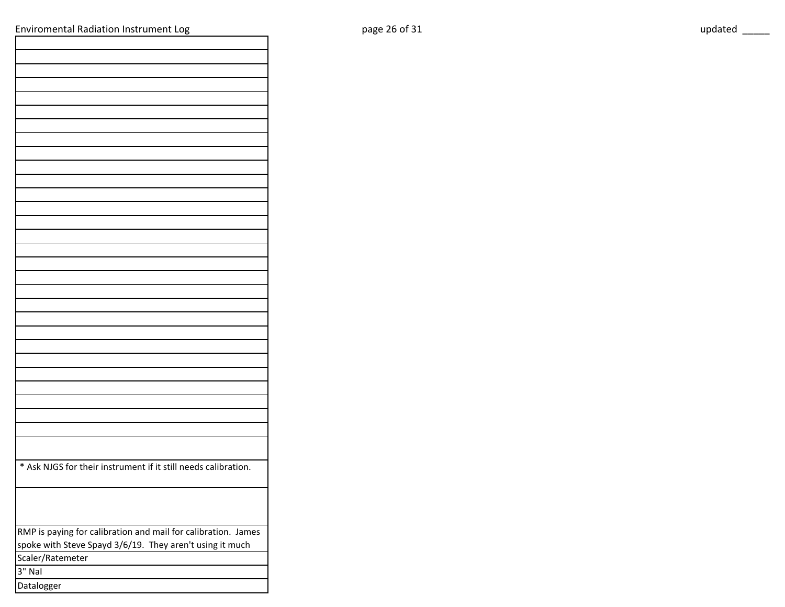| * Ask NJGS for their instrument if it still needs calibration. |
|----------------------------------------------------------------|
|                                                                |
|                                                                |
|                                                                |
|                                                                |
| RMP is paying for calibration and mail for calibration. James  |
| spoke with Steve Spayd 3/6/19. They aren't using it much       |
| Scaler/Ratemeter                                               |
| 3" Nal                                                         |
| Datalogger                                                     |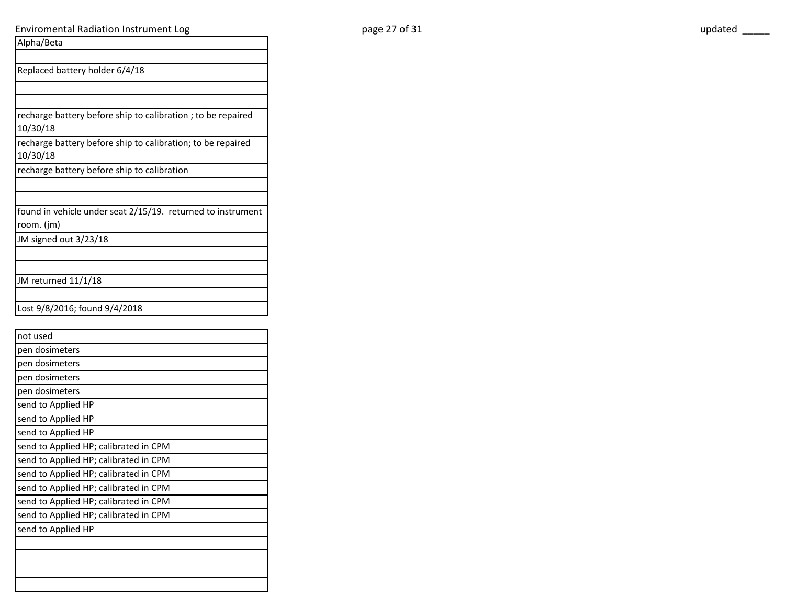## Enviromental Radiation Instrument Log and the control of the page 27 of 31 control of the control of the control of the control of the control of the control of the control of the control of the control of the control of t

| Alpha/Beta                                                                                         |
|----------------------------------------------------------------------------------------------------|
|                                                                                                    |
| Replaced battery holder 6/4/18                                                                     |
|                                                                                                    |
|                                                                                                    |
| recharge battery before ship to calibration; to be repaired<br>10/30/18                            |
| recharge battery before ship to calibration; to be repaired<br>10/30/18                            |
| recharge battery before ship to calibration                                                        |
|                                                                                                    |
| found in vehicle under seat 2/15/19. returned to instrument<br>room. (jm)<br>JM signed out 3/23/18 |
|                                                                                                    |
| JM returned 11/1/18                                                                                |
| Lost 9/8/2016; found 9/4/2018                                                                      |
|                                                                                                    |
| not used                                                                                           |
| pen dosimeters                                                                                     |
| pen dosimeters                                                                                     |
| pen dosimeters                                                                                     |
| pen dosimeters                                                                                     |
| send to Applied HP                                                                                 |
| send to Applied HP                                                                                 |
| send to Applied HP                                                                                 |
| send to Applied HP; calibrated in CPM                                                              |
| send to Applied HP; calibrated in CPM                                                              |
| send to Applied HP; calibrated in CPM                                                              |
| send to Applied HP; calibrated in CPM                                                              |
| send to Applied HP; calibrated in CPM                                                              |
| send to Applied HP; calibrated in CPM                                                              |
| send to Applied HP                                                                                 |
|                                                                                                    |
|                                                                                                    |
|                                                                                                    |
|                                                                                                    |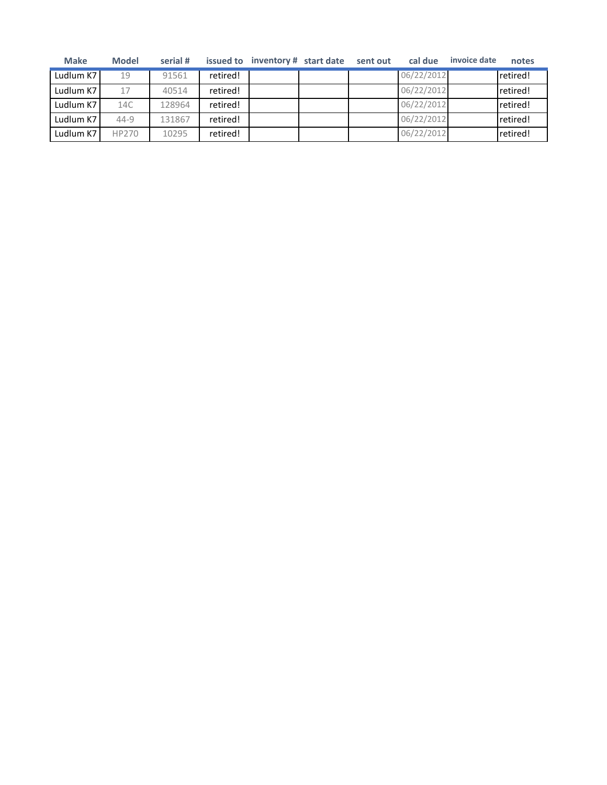| <b>Make</b> | <b>Model</b> | serial # |          | issued to inventory # start date | sent out | cal due    | invoice date | notes    |
|-------------|--------------|----------|----------|----------------------------------|----------|------------|--------------|----------|
| Ludlum K7   | 19           | 91561    | retired! |                                  |          | 06/22/2012 |              | retired! |
| Ludlum K7   | 17           | 40514    | retired! |                                  |          | 06/22/2012 |              | retired! |
| Ludlum K7   | 14C          | 128964   | retired! |                                  |          | 06/22/2012 |              | retired! |
| Ludlum K7   | $44 - 9$     | 131867   | retired! |                                  |          | 06/22/2012 |              | retired! |
| Ludlum K7   | <b>HP270</b> | 10295    | retired! |                                  |          | 06/22/2012 |              | retired! |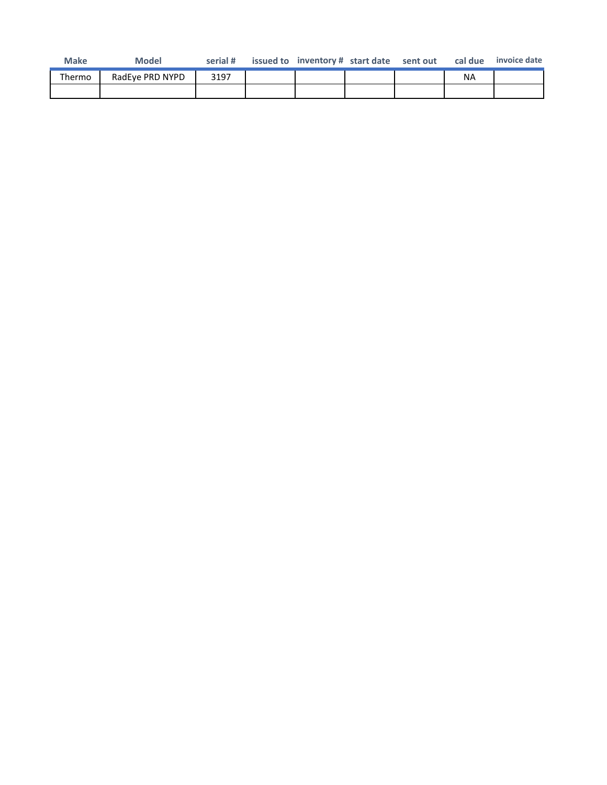| <b>Make</b> | <b>Model</b>    | serial # | issued to inventory # start date sent out |  |    | cal due invoice date |
|-------------|-----------------|----------|-------------------------------------------|--|----|----------------------|
| Thermo      | RadEye PRD NYPD | 3197     |                                           |  | ΝA |                      |
|             |                 |          |                                           |  |    |                      |